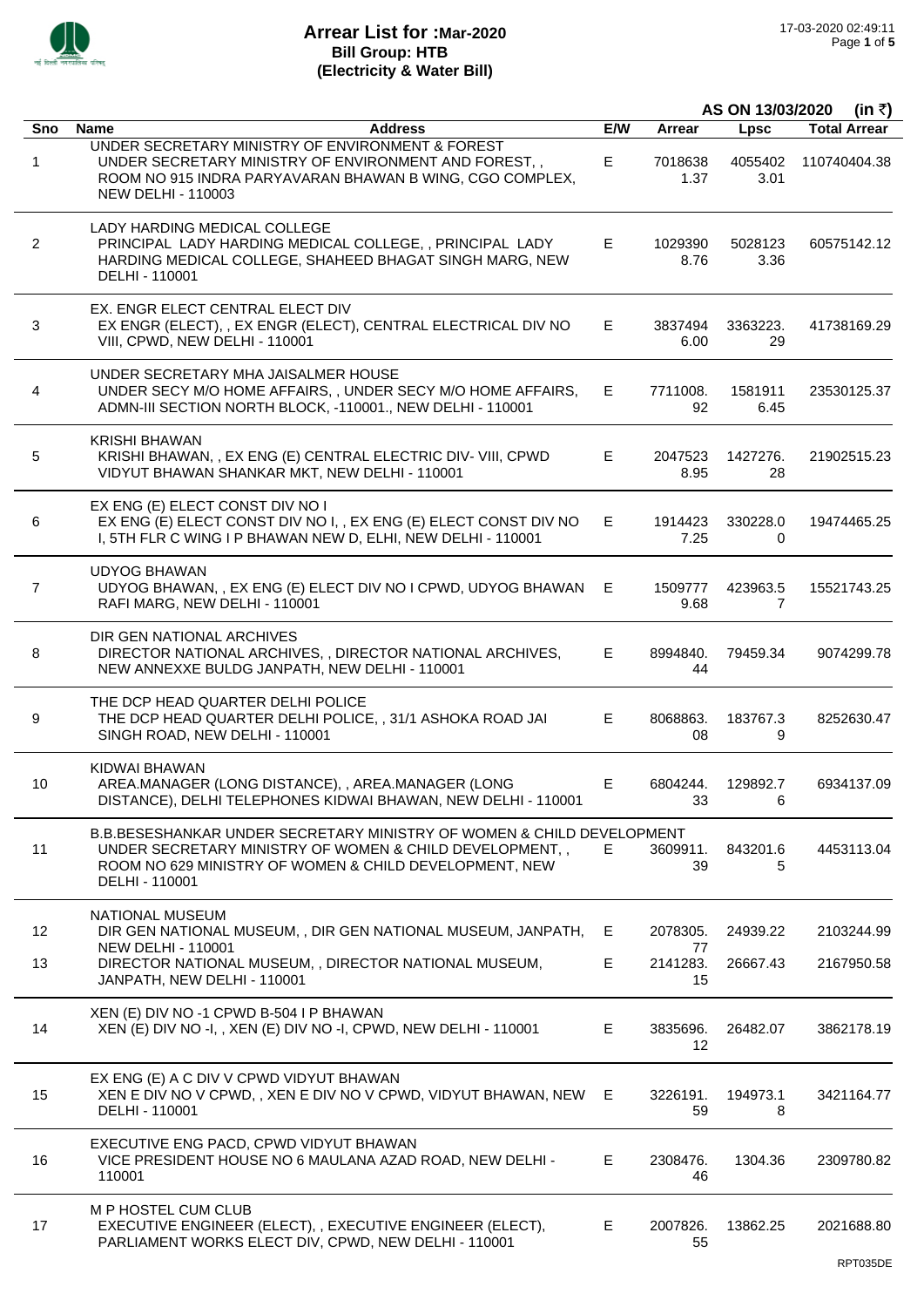

|                 |                                                                                                                                                                                                              |     |                 | AS ON 13/03/2020<br>(in ₹) |                     |
|-----------------|--------------------------------------------------------------------------------------------------------------------------------------------------------------------------------------------------------------|-----|-----------------|----------------------------|---------------------|
| Sno             | <b>Address</b><br><b>Name</b>                                                                                                                                                                                | E/W | <b>Arrear</b>   | Lpsc                       | <b>Total Arrear</b> |
| 1               | UNDER SECRETARY MINISTRY OF ENVIRONMENT & FOREST<br>UNDER SECRETARY MINISTRY OF ENVIRONMENT AND FOREST,,<br>ROOM NO 915 INDRA PARYAVARAN BHAWAN B WING, CGO COMPLEX,<br><b>NEW DELHI - 110003</b>            | Е   | 7018638<br>1.37 | 4055402<br>3.01            | 110740404.38        |
| $\overline{2}$  | LADY HARDING MEDICAL COLLEGE<br>PRINCIPAL LADY HARDING MEDICAL COLLEGE, , PRINCIPAL LADY<br>HARDING MEDICAL COLLEGE, SHAHEED BHAGAT SINGH MARG, NEW<br>DELHI - 110001                                        | E.  | 1029390<br>8.76 | 5028123<br>3.36            | 60575142.12         |
| 3               | EX. ENGR ELECT CENTRAL ELECT DIV<br>EX ENGR (ELECT), , EX ENGR (ELECT), CENTRAL ELECTRICAL DIV NO<br>VIII, CPWD, NEW DELHI - 110001                                                                          | Е.  | 3837494<br>6.00 | 3363223.<br>29             | 41738169.29         |
| 4               | UNDER SECRETARY MHA JAISALMER HOUSE<br>UNDER SECY M/O HOME AFFAIRS, , UNDER SECY M/O HOME AFFAIRS,<br>ADMN-III SECTION NORTH BLOCK, -110001., NEW DELHI - 110001                                             | E.  | 7711008.<br>92  | 1581911<br>6.45            | 23530125.37         |
| 5               | <b>KRISHI BHAWAN</b><br>KRISHI BHAWAN, , EX ENG (E) CENTRAL ELECTRIC DIV- VIII, CPWD<br>VIDYUT BHAWAN SHANKAR MKT, NEW DELHI - 110001                                                                        | Е.  | 2047523<br>8.95 | 1427276.<br>28             | 21902515.23         |
| 6               | EX ENG (E) ELECT CONST DIV NO I<br>EX ENG (E) ELECT CONST DIV NO I, , EX ENG (E) ELECT CONST DIV NO<br>I, 5TH FLR C WING I P BHAWAN NEW D, ELHI, NEW DELHI - 110001                                          | Е.  | 1914423<br>7.25 | 330228.0<br>0              | 19474465.25         |
| 7               | <b>UDYOG BHAWAN</b><br>UDYOG BHAWAN, , EX ENG (E) ELECT DIV NO I CPWD, UDYOG BHAWAN<br>RAFI MARG, NEW DELHI - 110001                                                                                         | E.  | 1509777<br>9.68 | 423963.5<br>7              | 15521743.25         |
| 8               | DIR GEN NATIONAL ARCHIVES<br>DIRECTOR NATIONAL ARCHIVES, , DIRECTOR NATIONAL ARCHIVES,<br>NEW ANNEXXE BULDG JANPATH, NEW DELHI - 110001                                                                      | E.  | 8994840.<br>44  | 79459.34                   | 9074299.78          |
| 9               | THE DCP HEAD QUARTER DELHI POLICE<br>THE DCP HEAD QUARTER DELHI POLICE, , 31/1 ASHOKA ROAD JAI<br>SINGH ROAD, NEW DELHI - 110001                                                                             | E.  | 8068863.<br>08  | 183767.3<br>9              | 8252630.47          |
| 10              | KIDWAI BHAWAN<br>AREA.MANAGER (LONG DISTANCE), , AREA.MANAGER (LONG<br>DISTANCE), DELHI TELEPHONES KIDWAI BHAWAN, NEW DELHI - 110001                                                                         | Е   | 6804244.<br>33  | 129892.7<br>$-6$           | 6934137.09          |
| 11              | B.B.BESESHANKAR UNDER SECRETARY MINISTRY OF WOMEN & CHILD DEVELOPMENT<br>UNDER SECRETARY MINISTRY OF WOMEN & CHILD DEVELOPMENT,,<br>ROOM NO 629 MINISTRY OF WOMEN & CHILD DEVELOPMENT, NEW<br>DELHI - 110001 | Е.  | 3609911.<br>39  | 843201.6<br>5              | 4453113.04          |
| 12 <sup>2</sup> | NATIONAL MUSEUM<br>DIR GEN NATIONAL MUSEUM, , DIR GEN NATIONAL MUSEUM, JANPATH,<br><b>NEW DELHI - 110001</b>                                                                                                 | E.  | 2078305.<br>77  | 24939.22                   | 2103244.99          |
| 13              | DIRECTOR NATIONAL MUSEUM, , DIRECTOR NATIONAL MUSEUM,<br>JANPATH, NEW DELHI - 110001                                                                                                                         | E.  | 2141283.<br>15  | 26667.43                   | 2167950.58          |
| 14              | XEN (E) DIV NO -1 CPWD B-504 I P BHAWAN<br>XEN (E) DIV NO -I, , XEN (E) DIV NO -I, CPWD, NEW DELHI - 110001                                                                                                  | E.  | 3835696.<br>12  | 26482.07                   | 3862178.19          |
| 15              | EX ENG (E) A C DIV V CPWD VIDYUT BHAWAN<br>XEN E DIV NO V CPWD, , XEN E DIV NO V CPWD, VIDYUT BHAWAN, NEW<br>DELHI - 110001                                                                                  | E.  | 3226191.<br>59  | 194973.1<br>8              | 3421164.77          |
| 16              | EXECUTIVE ENG PACD, CPWD VIDYUT BHAWAN<br>VICE PRESIDENT HOUSE NO 6 MAULANA AZAD ROAD, NEW DELHI -<br>110001                                                                                                 | E.  | 2308476.<br>46  | 1304.36                    | 2309780.82          |
| 17              | M P HOSTEL CUM CLUB<br>EXECUTIVE ENGINEER (ELECT), , EXECUTIVE ENGINEER (ELECT),<br>PARLIAMENT WORKS ELECT DIV, CPWD, NEW DELHI - 110001                                                                     | E.  | 2007826.<br>55  | 13862.25                   | 2021688.80          |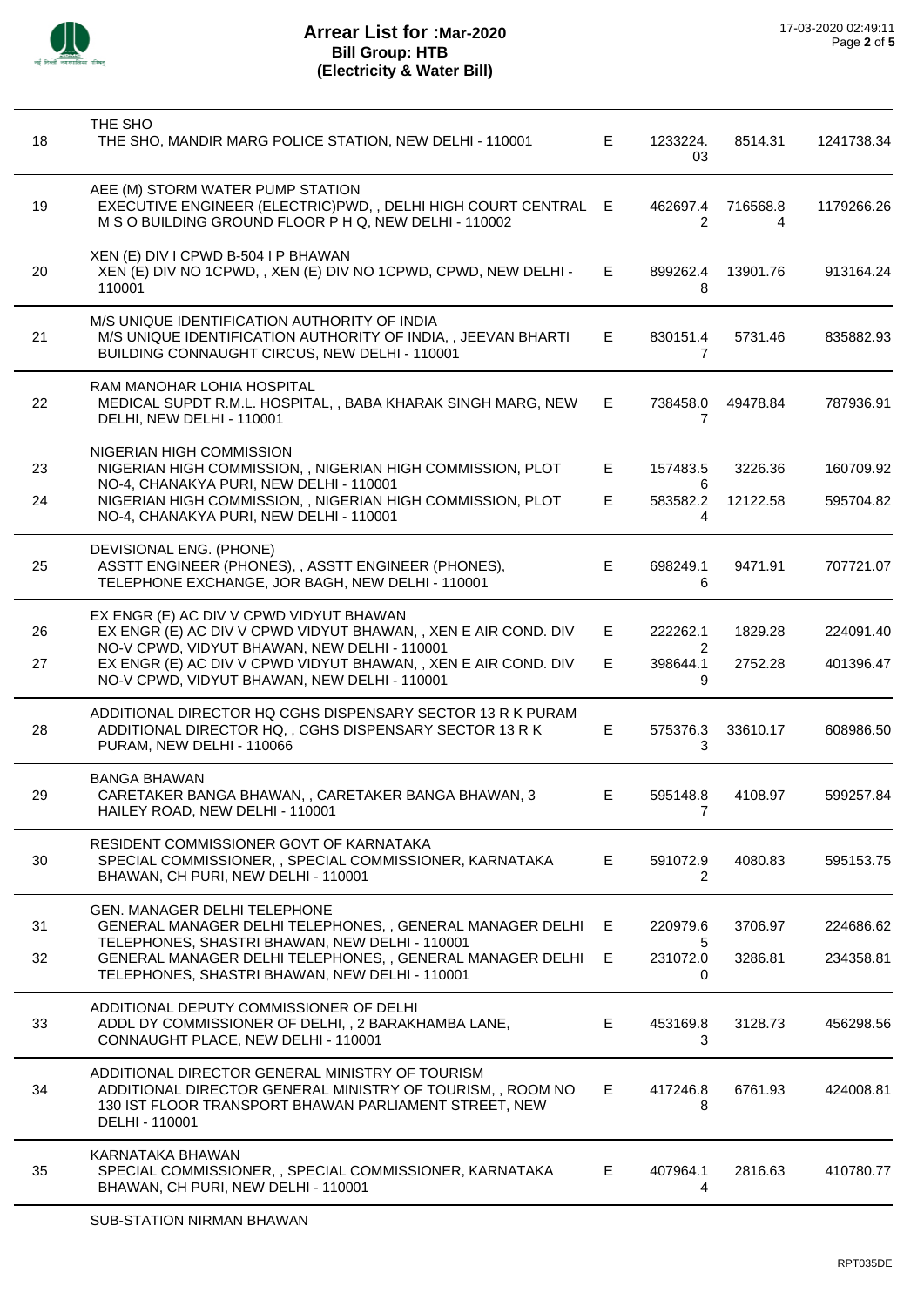

| 18 | THE SHO<br>THE SHO, MANDIR MARG POLICE STATION, NEW DELHI - 110001                                                                                                                       | Е  | 1233224.<br>03     | 8514.31       | 1241738.34 |
|----|------------------------------------------------------------------------------------------------------------------------------------------------------------------------------------------|----|--------------------|---------------|------------|
| 19 | AEE (M) STORM WATER PUMP STATION<br>EXECUTIVE ENGINEER (ELECTRIC)PWD, , DELHI HIGH COURT CENTRAL E<br>M S O BUILDING GROUND FLOOR P H Q, NEW DELHI - 110002                              |    | 462697.4<br>2      | 716568.8<br>4 | 1179266.26 |
| 20 | XEN (E) DIV I CPWD B-504 I P BHAWAN<br>XEN (E) DIV NO 1CPWD, , XEN (E) DIV NO 1CPWD, CPWD, NEW DELHI -<br>110001                                                                         | Е  | 899262.4<br>8      | 13901.76      | 913164.24  |
| 21 | M/S UNIQUE IDENTIFICATION AUTHORITY OF INDIA<br>M/S UNIQUE IDENTIFICATION AUTHORITY OF INDIA, , JEEVAN BHARTI<br>BUILDING CONNAUGHT CIRCUS, NEW DELHI - 110001                           | E  | 830151.4<br>7      | 5731.46       | 835882.93  |
| 22 | RAM MANOHAR LOHIA HOSPITAL<br>MEDICAL SUPDT R.M.L. HOSPITAL, , BABA KHARAK SINGH MARG, NEW<br>DELHI, NEW DELHI - 110001                                                                  | Е  | 738458.0<br>7      | 49478.84      | 787936.91  |
| 23 | NIGERIAN HIGH COMMISSION<br>NIGERIAN HIGH COMMISSION, , NIGERIAN HIGH COMMISSION, PLOT                                                                                                   | E. | 157483.5           | 3226.36       | 160709.92  |
| 24 | NO-4, CHANAKYA PURI, NEW DELHI - 110001<br>NIGERIAN HIGH COMMISSION, , NIGERIAN HIGH COMMISSION, PLOT<br>NO-4, CHANAKYA PURI, NEW DELHI - 110001                                         | Е  | 6<br>583582.2<br>4 | 12122.58      | 595704.82  |
| 25 | DEVISIONAL ENG. (PHONE)<br>ASSTT ENGINEER (PHONES), , ASSTT ENGINEER (PHONES),<br>TELEPHONE EXCHANGE, JOR BAGH, NEW DELHI - 110001                                                       | Е  | 698249.1<br>6      | 9471.91       | 707721.07  |
| 26 | EX ENGR (E) AC DIV V CPWD VIDYUT BHAWAN<br>EX ENGR (E) AC DIV V CPWD VIDYUT BHAWAN, , XEN E AIR COND. DIV                                                                                | Е  | 222262.1           | 1829.28       | 224091.40  |
| 27 | NO-V CPWD, VIDYUT BHAWAN, NEW DELHI - 110001<br>EX ENGR (E) AC DIV V CPWD VIDYUT BHAWAN, , XEN E AIR COND. DIV<br>NO-V CPWD, VIDYUT BHAWAN, NEW DELHI - 110001                           | Е  | 2<br>398644.1<br>9 | 2752.28       | 401396.47  |
| 28 | ADDITIONAL DIRECTOR HQ CGHS DISPENSARY SECTOR 13 R K PURAM<br>ADDITIONAL DIRECTOR HQ, , CGHS DISPENSARY SECTOR 13 R K<br>PURAM, NEW DELHI - 110066                                       | E  | 575376.3<br>3      | 33610.17      | 608986.50  |
| 29 | <b>BANGA BHAWAN</b><br>CARETAKER BANGA BHAWAN,, CARETAKER BANGA BHAWAN, 3<br>HAILEY ROAD, NEW DELHI - 110001                                                                             | Е  | 595148.8<br>7      | 4108.97       | 599257.84  |
| 30 | RESIDENT COMMISSIONER GOVT OF KARNATAKA<br>SPECIAL COMMISSIONER, , SPECIAL COMMISSIONER, KARNATAKA<br>BHAWAN, CH PURI, NEW DELHI - 110001                                                | E. | 591072.9<br>2      | 4080.83       | 595153.75  |
| 31 | <b>GEN. MANAGER DELHI TELEPHONE</b><br>GENERAL MANAGER DELHI TELEPHONES,, GENERAL MANAGER DELHI                                                                                          | Е  | 220979.6           | 3706.97       | 224686.62  |
| 32 | TELEPHONES, SHASTRI BHAWAN, NEW DELHI - 110001<br>GENERAL MANAGER DELHI TELEPHONES,, GENERAL MANAGER DELHI<br>TELEPHONES, SHASTRI BHAWAN, NEW DELHI - 110001                             | Е  | 5<br>231072.0<br>0 | 3286.81       | 234358.81  |
| 33 | ADDITIONAL DEPUTY COMMISSIONER OF DELHI<br>ADDL DY COMMISSIONER OF DELHI, , 2 BARAKHAMBA LANE,<br>CONNAUGHT PLACE, NEW DELHI - 110001                                                    | E. | 453169.8<br>3      | 3128.73       | 456298.56  |
| 34 | ADDITIONAL DIRECTOR GENERAL MINISTRY OF TOURISM<br>ADDITIONAL DIRECTOR GENERAL MINISTRY OF TOURISM, , ROOM NO<br>130 IST FLOOR TRANSPORT BHAWAN PARLIAMENT STREET, NEW<br>DELHI - 110001 | E. | 417246.8<br>8      | 6761.93       | 424008.81  |
| 35 | KARNATAKA BHAWAN<br>SPECIAL COMMISSIONER, , SPECIAL COMMISSIONER, KARNATAKA<br>BHAWAN, CH PURI, NEW DELHI - 110001                                                                       | E. | 407964.1<br>4      | 2816.63       | 410780.77  |
|    |                                                                                                                                                                                          |    |                    |               |            |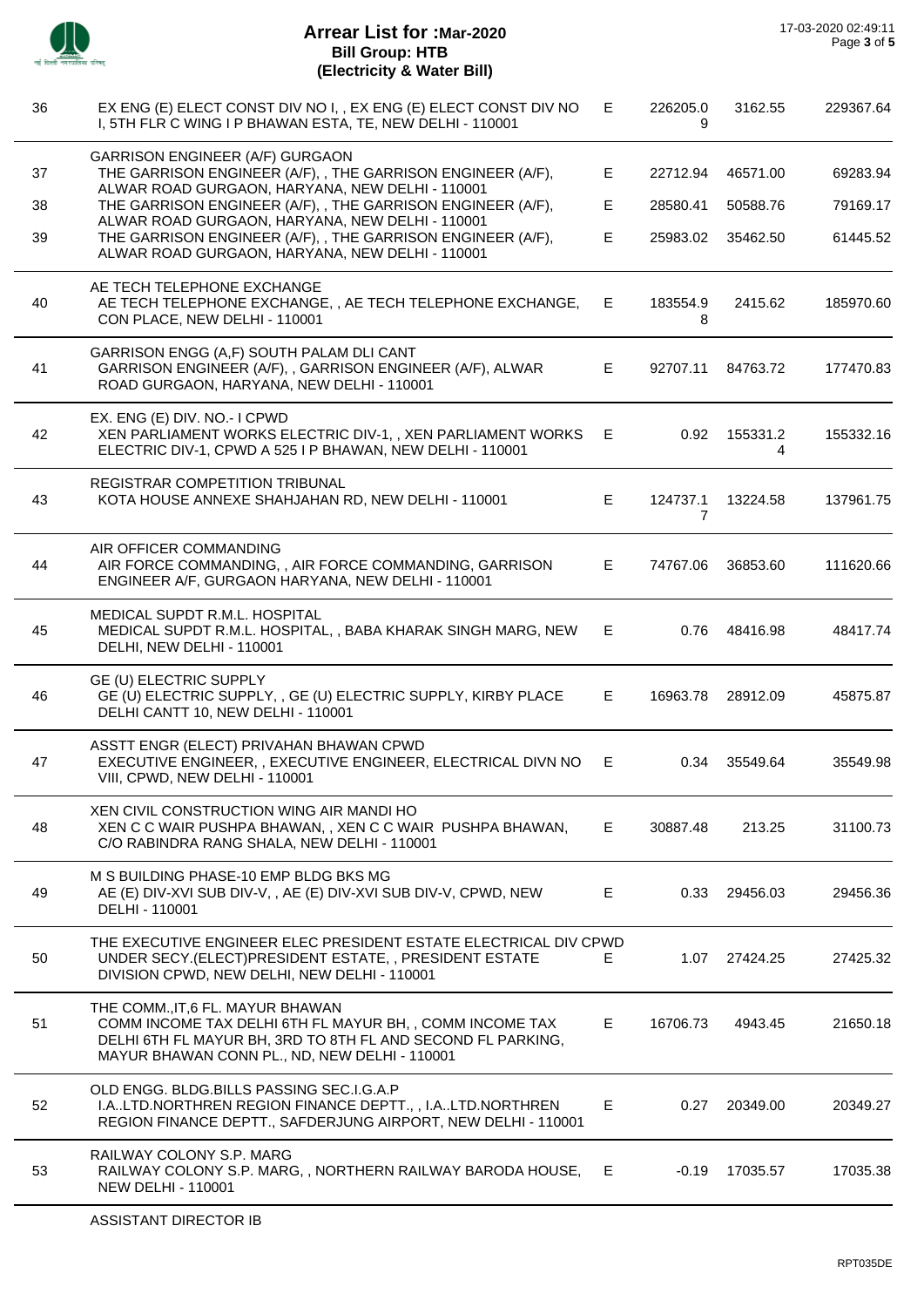

 $\overline{\phantom{0}}$ 

 $\overline{\phantom{a}}$ 

| 36 | EX ENG (E) ELECT CONST DIV NO I, , EX ENG (E) ELECT CONST DIV NO<br>I, 5TH FLR C WING I P BHAWAN ESTA, TE, NEW DELHI - 110001                                                                                 | E  | 226205.0<br>9 | 3162.55       | 229367.64 |
|----|---------------------------------------------------------------------------------------------------------------------------------------------------------------------------------------------------------------|----|---------------|---------------|-----------|
| 37 | <b>GARRISON ENGINEER (A/F) GURGAON</b><br>THE GARRISON ENGINEER (A/F), , THE GARRISON ENGINEER (A/F),<br>ALWAR ROAD GURGAON, HARYANA, NEW DELHI - 110001                                                      | Е  | 22712.94      | 46571.00      | 69283.94  |
| 38 | THE GARRISON ENGINEER (A/F), , THE GARRISON ENGINEER (A/F),                                                                                                                                                   | E. | 28580.41      | 50588.76      | 79169.17  |
| 39 | ALWAR ROAD GURGAON, HARYANA, NEW DELHI - 110001<br>THE GARRISON ENGINEER (A/F), , THE GARRISON ENGINEER (A/F),<br>ALWAR ROAD GURGAON, HARYANA, NEW DELHI - 110001                                             | E  | 25983.02      | 35462.50      | 61445.52  |
| 40 | AE TECH TELEPHONE EXCHANGE<br>AE TECH TELEPHONE EXCHANGE,, AE TECH TELEPHONE EXCHANGE,<br>CON PLACE, NEW DELHI - 110001                                                                                       | E. | 183554.9<br>8 | 2415.62       | 185970.60 |
| 41 | GARRISON ENGG (A,F) SOUTH PALAM DLI CANT<br>GARRISON ENGINEER (A/F), , GARRISON ENGINEER (A/F), ALWAR<br>ROAD GURGAON, HARYANA, NEW DELHI - 110001                                                            | E  | 92707.11      | 84763.72      | 177470.83 |
| 42 | EX. ENG (E) DIV. NO.- I CPWD<br>XEN PARLIAMENT WORKS ELECTRIC DIV-1,, XEN PARLIAMENT WORKS<br>ELECTRIC DIV-1, CPWD A 525 I P BHAWAN, NEW DELHI - 110001                                                       | Е  | 0.92          | 155331.2<br>4 | 155332.16 |
| 43 | REGISTRAR COMPETITION TRIBUNAL<br>KOTA HOUSE ANNEXE SHAHJAHAN RD, NEW DELHI - 110001                                                                                                                          | E. | 124737.1<br>7 | 13224.58      | 137961.75 |
| 44 | AIR OFFICER COMMANDING<br>AIR FORCE COMMANDING, , AIR FORCE COMMANDING, GARRISON<br>ENGINEER A/F, GURGAON HARYANA, NEW DELHI - 110001                                                                         | E. | 74767.06      | 36853.60      | 111620.66 |
| 45 | MEDICAL SUPDT R.M.L. HOSPITAL<br>MEDICAL SUPDT R.M.L. HOSPITAL, , BABA KHARAK SINGH MARG, NEW<br>DELHI, NEW DELHI - 110001                                                                                    | E. | 0.76          | 48416.98      | 48417.74  |
| 46 | GE (U) ELECTRIC SUPPLY<br>GE (U) ELECTRIC SUPPLY, , GE (U) ELECTRIC SUPPLY, KIRBY PLACE<br>DELHI CANTT 10, NEW DELHI - 110001                                                                                 | E  | 16963.78      | 28912.09      | 45875.87  |
| 47 | ASSTT ENGR (ELECT) PRIVAHAN BHAWAN CPWD<br>EXECUTIVE ENGINEER, , EXECUTIVE ENGINEER, ELECTRICAL DIVN NO<br>VIII, CPWD, NEW DELHI - 110001                                                                     | Е  | 0.34          | 35549.64      | 35549.98  |
| 48 | XEN CIVIL CONSTRUCTION WING AIR MANDI HO<br>XEN C C WAIR PUSHPA BHAWAN, , XEN C C WAIR PUSHPA BHAWAN,<br>C/O RABINDRA RANG SHALA, NEW DELHI - 110001                                                          | Е. | 30887.48      | 213.25        | 31100.73  |
| 49 | M S BUILDING PHASE-10 EMP BLDG BKS MG<br>AE (E) DIV-XVI SUB DIV-V, , AE (E) DIV-XVI SUB DIV-V, CPWD, NEW<br>DELHI - 110001                                                                                    | E. | 0.33          | 29456.03      | 29456.36  |
| 50 | THE EXECUTIVE ENGINEER ELEC PRESIDENT ESTATE ELECTRICAL DIV CPWD<br>UNDER SECY.(ELECT)PRESIDENT ESTATE,, PRESIDENT ESTATE<br>DIVISION CPWD, NEW DELHI, NEW DELHI - 110001                                     | E. | 1.07          | 27424.25      | 27425.32  |
| 51 | THE COMM., IT, 6 FL. MAYUR BHAWAN<br>COMM INCOME TAX DELHI 6TH FL MAYUR BH, , COMM INCOME TAX<br>DELHI 6TH FL MAYUR BH, 3RD TO 8TH FL AND SECOND FL PARKING,<br>MAYUR BHAWAN CONN PL., ND, NEW DELHI - 110001 | E. | 16706.73      | 4943.45       | 21650.18  |
| 52 | OLD ENGG. BLDG.BILLS PASSING SEC.I.G.A.P<br>I.ALTD.NORTHREN REGION FINANCE DEPTT.,, I.ALTD.NORTHREN<br>REGION FINANCE DEPTT., SAFDERJUNG AIRPORT, NEW DELHI - 110001                                          | E. | 0.27          | 20349.00      | 20349.27  |
| 53 | RAILWAY COLONY S.P. MARG<br>RAILWAY COLONY S.P. MARG,, NORTHERN RAILWAY BARODA HOUSE,<br><b>NEW DELHI - 110001</b>                                                                                            | Е  | $-0.19$       | 17035.57      | 17035.38  |
|    |                                                                                                                                                                                                               |    |               |               |           |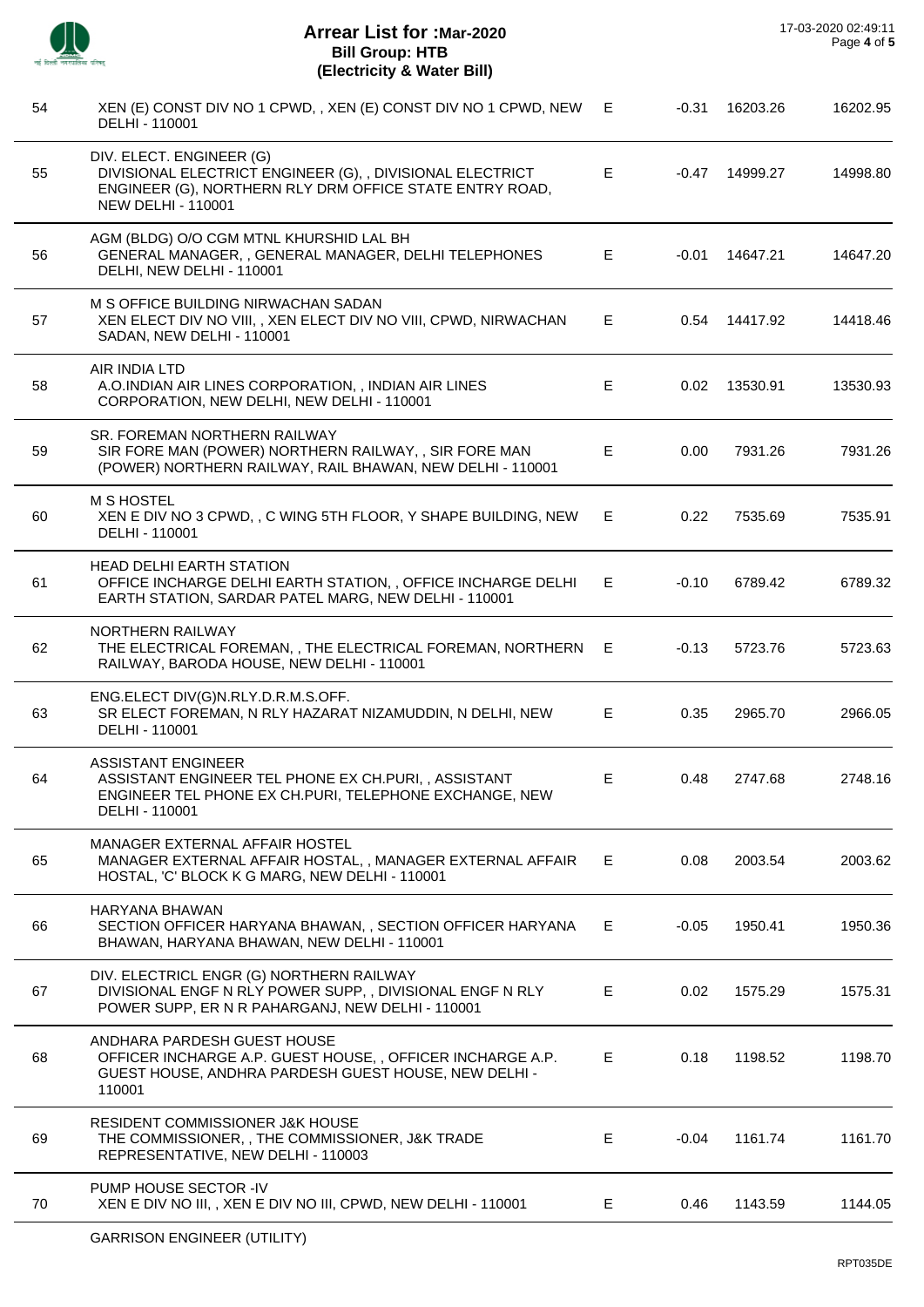| 54 | XEN (E) CONST DIV NO 1 CPWD, , XEN (E) CONST DIV NO 1 CPWD, NEW<br>DELHI - 110001                                                                                             | E. | $-0.31$ | 16203.26 | 16202.95 |
|----|-------------------------------------------------------------------------------------------------------------------------------------------------------------------------------|----|---------|----------|----------|
| 55 | DIV. ELECT. ENGINEER (G)<br>DIVISIONAL ELECTRICT ENGINEER (G), , DIVISIONAL ELECTRICT<br>ENGINEER (G), NORTHERN RLY DRM OFFICE STATE ENTRY ROAD,<br><b>NEW DELHI - 110001</b> | E  | -0.47   | 14999.27 | 14998.80 |
| 56 | AGM (BLDG) O/O CGM MTNL KHURSHID LAL BH<br>GENERAL MANAGER, , GENERAL MANAGER, DELHI TELEPHONES<br>DELHI, NEW DELHI - 110001                                                  | E. | -0.01   | 14647.21 | 14647.20 |
| 57 | M S OFFICE BUILDING NIRWACHAN SADAN<br>XEN ELECT DIV NO VIII,, XEN ELECT DIV NO VIII, CPWD, NIRWACHAN<br>SADAN, NEW DELHI - 110001                                            | E. | 0.54    | 14417.92 | 14418.46 |
| 58 | AIR INDIA LTD<br>A.O.INDIAN AIR LINES CORPORATION, , INDIAN AIR LINES<br>CORPORATION, NEW DELHI, NEW DELHI - 110001                                                           | E. | 0.02    | 13530.91 | 13530.93 |
| 59 | SR. FOREMAN NORTHERN RAILWAY<br>SIR FORE MAN (POWER) NORTHERN RAILWAY,, SIR FORE MAN<br>(POWER) NORTHERN RAILWAY, RAIL BHAWAN, NEW DELHI - 110001                             | E. | 0.00    | 7931.26  | 7931.26  |
| 60 | <b>M S HOSTEL</b><br>XEN E DIV NO 3 CPWD, , C WING 5TH FLOOR, Y SHAPE BUILDING, NEW<br>DELHI - 110001                                                                         | E. | 0.22    | 7535.69  | 7535.91  |
| 61 | <b>HEAD DELHI EARTH STATION</b><br>OFFICE INCHARGE DELHI EARTH STATION, , OFFICE INCHARGE DELHI<br>EARTH STATION, SARDAR PATEL MARG, NEW DELHI - 110001                       | Е  | $-0.10$ | 6789.42  | 6789.32  |
| 62 | NORTHERN RAILWAY<br>THE ELECTRICAL FOREMAN, , THE ELECTRICAL FOREMAN, NORTHERN<br>RAILWAY, BARODA HOUSE, NEW DELHI - 110001                                                   | E  | $-0.13$ | 5723.76  | 5723.63  |
| 63 | ENG.ELECT DIV(G)N.RLY.D.R.M.S.OFF.<br>SR ELECT FOREMAN, N RLY HAZARAT NIZAMUDDIN, N DELHI, NEW<br>DELHI - 110001                                                              | E. | 0.35    | 2965.70  | 2966.05  |
| 64 | <b>ASSISTANT ENGINEER</b><br>ASSISTANT ENGINEER TEL PHONE EX CH.PURI,, ASSISTANT<br>ENGINEER TEL PHONE EX CH.PURI, TELEPHONE EXCHANGE, NEW<br>DELHI - 110001                  | Е  | 0.48    | 2747.68  | 2748.16  |
| 65 | MANAGER EXTERNAL AFFAIR HOSTEL<br>MANAGER EXTERNAL AFFAIR HOSTAL,, MANAGER EXTERNAL AFFAIR<br>HOSTAL, 'C' BLOCK K G MARG, NEW DELHI - 110001                                  | Е. | 0.08    | 2003.54  | 2003.62  |
| 66 | HARYANA BHAWAN<br>SECTION OFFICER HARYANA BHAWAN,, SECTION OFFICER HARYANA<br>BHAWAN, HARYANA BHAWAN, NEW DELHI - 110001                                                      | E  | $-0.05$ | 1950.41  | 1950.36  |
| 67 | DIV. ELECTRICL ENGR (G) NORTHERN RAILWAY<br>DIVISIONAL ENGF N RLY POWER SUPP, , DIVISIONAL ENGF N RLY<br>POWER SUPP, ER N R PAHARGANJ, NEW DELHI - 110001                     | Е  | 0.02    | 1575.29  | 1575.31  |
| 68 | ANDHARA PARDESH GUEST HOUSE<br>OFFICER INCHARGE A.P. GUEST HOUSE, , OFFICER INCHARGE A.P.<br>GUEST HOUSE, ANDHRA PARDESH GUEST HOUSE, NEW DELHI -<br>110001                   | Е  | 0.18    | 1198.52  | 1198.70  |
| 69 | <b>RESIDENT COMMISSIONER J&amp;K HOUSE</b><br>THE COMMISSIONER, , THE COMMISSIONER, J&K TRADE<br>REPRESENTATIVE, NEW DELHI - 110003                                           | E. | -0.04   | 1161.74  | 1161.70  |
| 70 | PUMP HOUSE SECTOR -IV<br>XEN E DIV NO III, , XEN E DIV NO III, CPWD, NEW DELHI - 110001                                                                                       | E. | 0.46    | 1143.59  | 1144.05  |